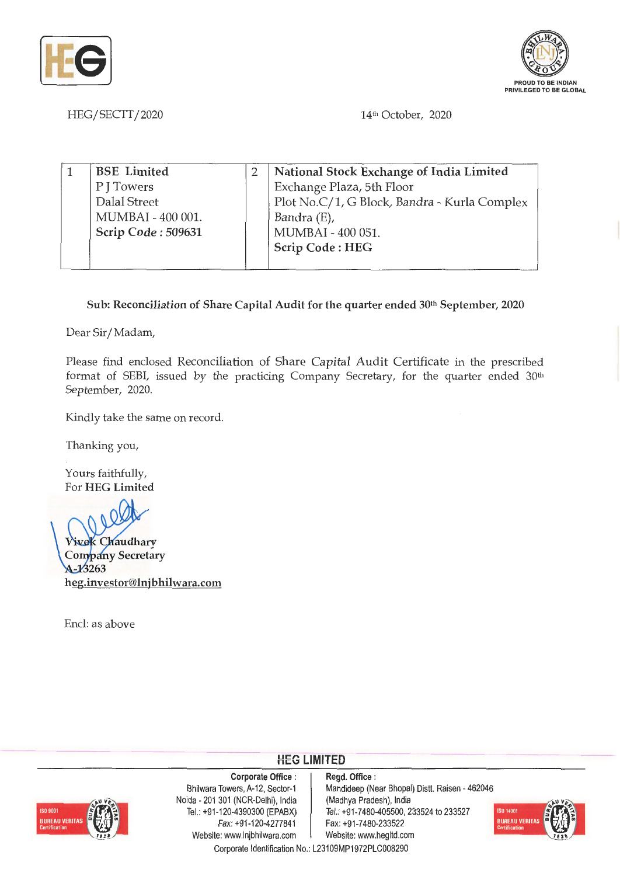



HEG/SECTT/2020 14th October, 2020

| <b>BSE</b> Limited | National Stock Exchange of India Limited     |
|--------------------|----------------------------------------------|
| P J Towers         | Exchange Plaza, 5th Floor                    |
| Dalal Street       | Plot No.C/1, G Block, Bandra - Kurla Complex |
| MUMBAI - 400 001.  | Bandra (E),                                  |
| Scrip Code: 509631 | MUMBAI - 400 051.                            |
|                    | Scrip Code: HEG                              |
|                    |                                              |

## **Sub: Reconciliation of Share Capital Audit for the quarter ended 30th September, 2020**

Dear Sir/ Madam,

Please find enclosed Reconciliation of Share Capital Audit Certificate in the prescribed format of SEBI, issued by the practicing Company Secretary, for the quarter ended 30<sup>th</sup> September, 2020.

Kindly take the same on record.

Thanking you,

Yours faithfully, For **HEG Limited** 

**Vivek Chaudhary Company Secretary** A-13263 **heg.investor@lnjbhilwara.com** 

Encl: as above

## **HEG LIMITED**



**Corporate Office** : Bhilwara Towers, A-12, Sector-1 Noida - 201 301 (NCR-Delhi), India Tel.: +91-120-4390300 (EPABX) Fax:+91-120-4277841 Website: www.lnjbhilwara.com <br>Website: www.hegltd.com

**Regd. Office** : Mandideep (Near Bhopal) Distt. Raisen - 462046 (Madhya Pradesh), India Tel.: +91-7480-405500, 233524 to 233527 Fax: +91 -7480-233522



Corporate Identification No.: L23109MP1972PLC008290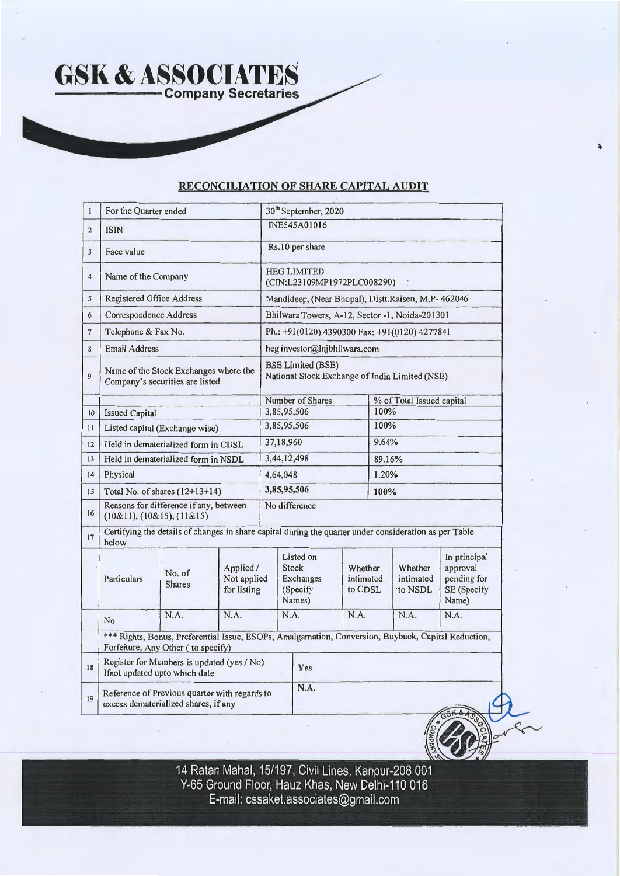## **RECONCILIATION OF SHARE CAPITAL AUDIT**

| $\mathbf{1}$   | For the Quarter ended                                                                 |                                                                                                        |                                         | 30 <sup>th</sup> September, 2020                                           |                                                       |                                                                                                     |                           |                                 |                                                                 |  |  |  |
|----------------|---------------------------------------------------------------------------------------|--------------------------------------------------------------------------------------------------------|-----------------------------------------|----------------------------------------------------------------------------|-------------------------------------------------------|-----------------------------------------------------------------------------------------------------|---------------------------|---------------------------------|-----------------------------------------------------------------|--|--|--|
| $\overline{2}$ | <b>ISIN</b>                                                                           |                                                                                                        |                                         | <b>INE545A01016</b>                                                        |                                                       |                                                                                                     |                           |                                 |                                                                 |  |  |  |
| 3              | Face value                                                                            |                                                                                                        |                                         | Rs.10 per share                                                            |                                                       |                                                                                                     |                           |                                 |                                                                 |  |  |  |
| $\overline{4}$ | Name of the Company                                                                   |                                                                                                        |                                         | <b>HEG LIMITED</b><br>(CIN:L23109MP1972PLC008290)                          |                                                       |                                                                                                     |                           |                                 |                                                                 |  |  |  |
| 5              | Registered Office Address                                                             |                                                                                                        |                                         | Mandideep, (Near Bhopal), Distt.Raisen, M.P- 462046                        |                                                       |                                                                                                     |                           |                                 |                                                                 |  |  |  |
| 6              | Correspondence Address                                                                |                                                                                                        |                                         |                                                                            | Bhilwara Towers, A-12, Sector -1, Noida-201301        |                                                                                                     |                           |                                 |                                                                 |  |  |  |
| $\overline{7}$ | Telephone & Fax No.                                                                   |                                                                                                        |                                         |                                                                            | Ph.: +91(0120) 4390300 Fax: +91(0120) 4277841         |                                                                                                     |                           |                                 |                                                                 |  |  |  |
| 8              | <b>Email Address</b>                                                                  |                                                                                                        |                                         |                                                                            | heg.investor@Injbhilwara.com                          |                                                                                                     |                           |                                 |                                                                 |  |  |  |
| 9              | Name of the Stock Exchanges where the<br>Company's securities are listed              |                                                                                                        |                                         | <b>BSE Limited (BSE)</b><br>National Stock Exchange of India Limited (NSE) |                                                       |                                                                                                     |                           |                                 |                                                                 |  |  |  |
|                |                                                                                       |                                                                                                        |                                         |                                                                            | Number of Shares                                      |                                                                                                     | % of Total Issued capital |                                 |                                                                 |  |  |  |
| 10             | <b>Issued Capital</b>                                                                 |                                                                                                        |                                         |                                                                            | 3,85,95,506                                           |                                                                                                     | 100%                      |                                 |                                                                 |  |  |  |
| 11             |                                                                                       | Listed capital (Exchange wise)                                                                         |                                         |                                                                            | 3,85,95,506                                           |                                                                                                     | 100%                      |                                 |                                                                 |  |  |  |
| 12             | Held in dematerialized form in CDSL                                                   |                                                                                                        | 37,18,960                               |                                                                            |                                                       | 9.64%                                                                                               |                           |                                 |                                                                 |  |  |  |
| 13             | Held in dematerialized form in NSDL                                                   |                                                                                                        |                                         |                                                                            | 3,44,12,498                                           |                                                                                                     |                           | 89.16%                          |                                                                 |  |  |  |
| 14             | Physical                                                                              |                                                                                                        |                                         |                                                                            | 4,64,048                                              |                                                                                                     |                           | 1.20%                           |                                                                 |  |  |  |
| 15             | Total No. of shares $(12+13+14)$                                                      |                                                                                                        |                                         | 3,85,95,506                                                                |                                                       |                                                                                                     | 100%                      |                                 |                                                                 |  |  |  |
| 16             | Reasons for difference if any, between<br>(10&11), (10&15), (11&15)                   |                                                                                                        |                                         |                                                                            | No difference                                         |                                                                                                     |                           |                                 |                                                                 |  |  |  |
| 17             | below                                                                                 | Certifying the details of changes in share capital during the quarter under consideration as per Table |                                         |                                                                            |                                                       |                                                                                                     |                           |                                 |                                                                 |  |  |  |
|                | Particulars                                                                           | No. of<br><b>Shares</b>                                                                                | Applied /<br>Not applied<br>for listing |                                                                            | Listed on<br>Stock<br>Exchanges<br>(Specify<br>Names) | Whether<br>intimated<br>to CDSL                                                                     |                           | Whether<br>intimated<br>to NSDL | In principal<br>approval<br>pending for<br>SE (Specify<br>Name) |  |  |  |
|                | No                                                                                    | N.A.                                                                                                   | N.A.                                    |                                                                            | N.A.                                                  | N.A.                                                                                                |                           | N.A.                            | N.A.                                                            |  |  |  |
|                |                                                                                       | Forfeiture, Any Other (to specify)                                                                     |                                         |                                                                            |                                                       | *** Rights, Bonus, Preferential Issue, ESOPs, Amalgamation, Conversion, Buyback, Capital Reduction, |                           |                                 |                                                                 |  |  |  |
| 18             | Register for Members is updated (yes / No)<br>Ifnot updated upto which date           |                                                                                                        |                                         |                                                                            | Yes                                                   |                                                                                                     |                           |                                 |                                                                 |  |  |  |
| 19             | Reference of Previous quarter with regards to<br>excess dematerialized shares, if any |                                                                                                        |                                         |                                                                            | N.A.                                                  |                                                                                                     |                           |                                 |                                                                 |  |  |  |

**14 Ratan Mahal, 15/197, Civil Lines, Kanpur-208 001 Y-65 Ground Floor, Hauz Khas, New Delhi-110 016 E-mail: cssaket.associates@gmail.com**